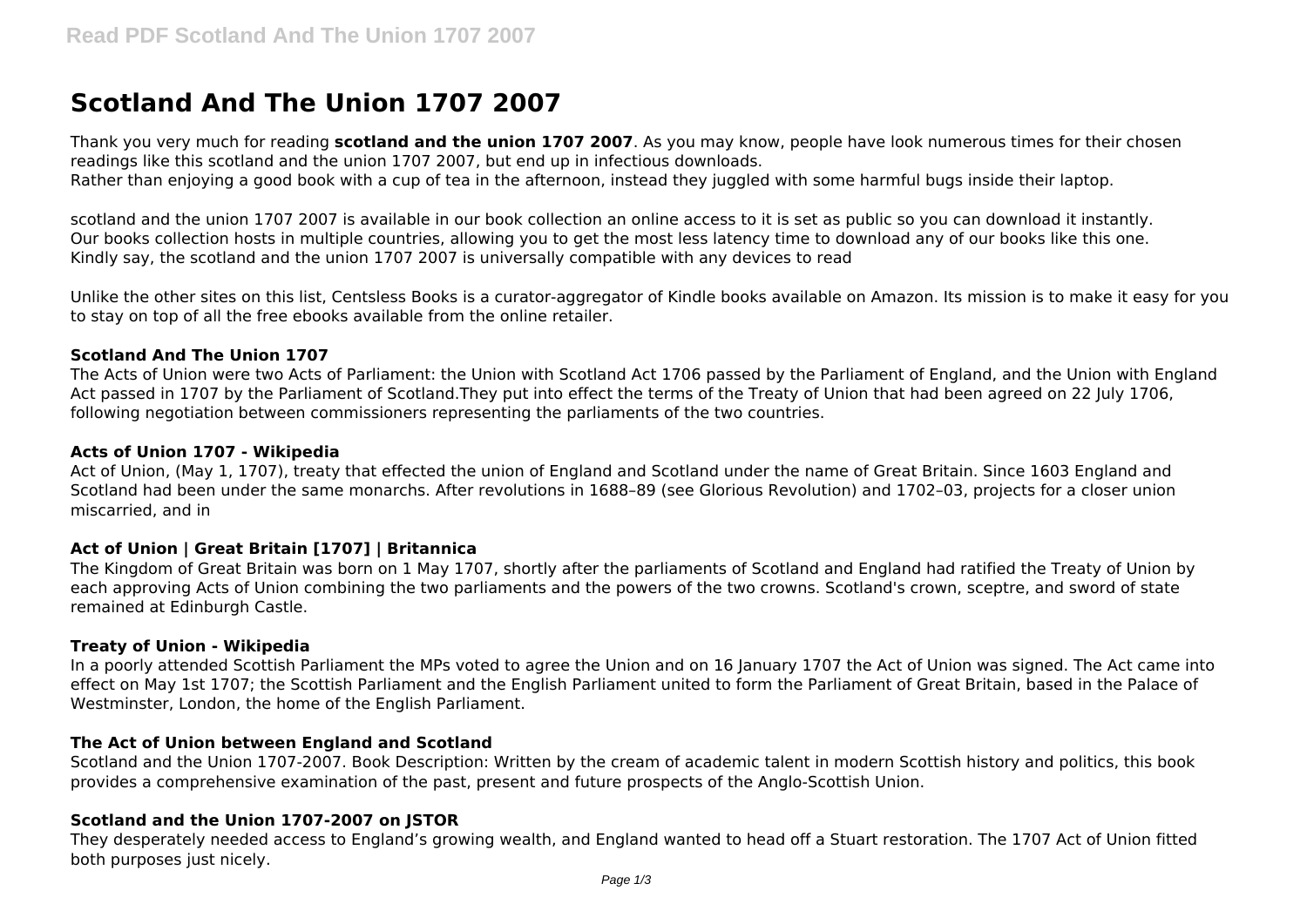# **Scotland And The Union 1707 2007**

Thank you very much for reading **scotland and the union 1707 2007**. As you may know, people have look numerous times for their chosen readings like this scotland and the union 1707 2007, but end up in infectious downloads. Rather than enjoying a good book with a cup of tea in the afternoon, instead they juggled with some harmful bugs inside their laptop.

scotland and the union 1707 2007 is available in our book collection an online access to it is set as public so you can download it instantly. Our books collection hosts in multiple countries, allowing you to get the most less latency time to download any of our books like this one. Kindly say, the scotland and the union 1707 2007 is universally compatible with any devices to read

Unlike the other sites on this list, Centsless Books is a curator-aggregator of Kindle books available on Amazon. Its mission is to make it easy for you to stay on top of all the free ebooks available from the online retailer.

## **Scotland And The Union 1707**

The Acts of Union were two Acts of Parliament: the Union with Scotland Act 1706 passed by the Parliament of England, and the Union with England Act passed in 1707 by the Parliament of Scotland.They put into effect the terms of the Treaty of Union that had been agreed on 22 July 1706, following negotiation between commissioners representing the parliaments of the two countries.

#### **Acts of Union 1707 - Wikipedia**

Act of Union, (May 1, 1707), treaty that effected the union of England and Scotland under the name of Great Britain. Since 1603 England and Scotland had been under the same monarchs. After revolutions in 1688–89 (see Glorious Revolution) and 1702–03, projects for a closer union miscarried, and in

## **Act of Union | Great Britain [1707] | Britannica**

The Kingdom of Great Britain was born on 1 May 1707, shortly after the parliaments of Scotland and England had ratified the Treaty of Union by each approving Acts of Union combining the two parliaments and the powers of the two crowns. Scotland's crown, sceptre, and sword of state remained at Edinburgh Castle.

## **Treaty of Union - Wikipedia**

In a poorly attended Scottish Parliament the MPs voted to agree the Union and on 16 January 1707 the Act of Union was signed. The Act came into effect on May 1st 1707; the Scottish Parliament and the English Parliament united to form the Parliament of Great Britain, based in the Palace of Westminster, London, the home of the English Parliament.

## **The Act of Union between England and Scotland**

Scotland and the Union 1707-2007. Book Description: Written by the cream of academic talent in modern Scottish history and politics, this book provides a comprehensive examination of the past, present and future prospects of the Anglo-Scottish Union.

## **Scotland and the Union 1707-2007 on JSTOR**

They desperately needed access to England's growing wealth, and England wanted to head off a Stuart restoration. The 1707 Act of Union fitted both purposes just nicely.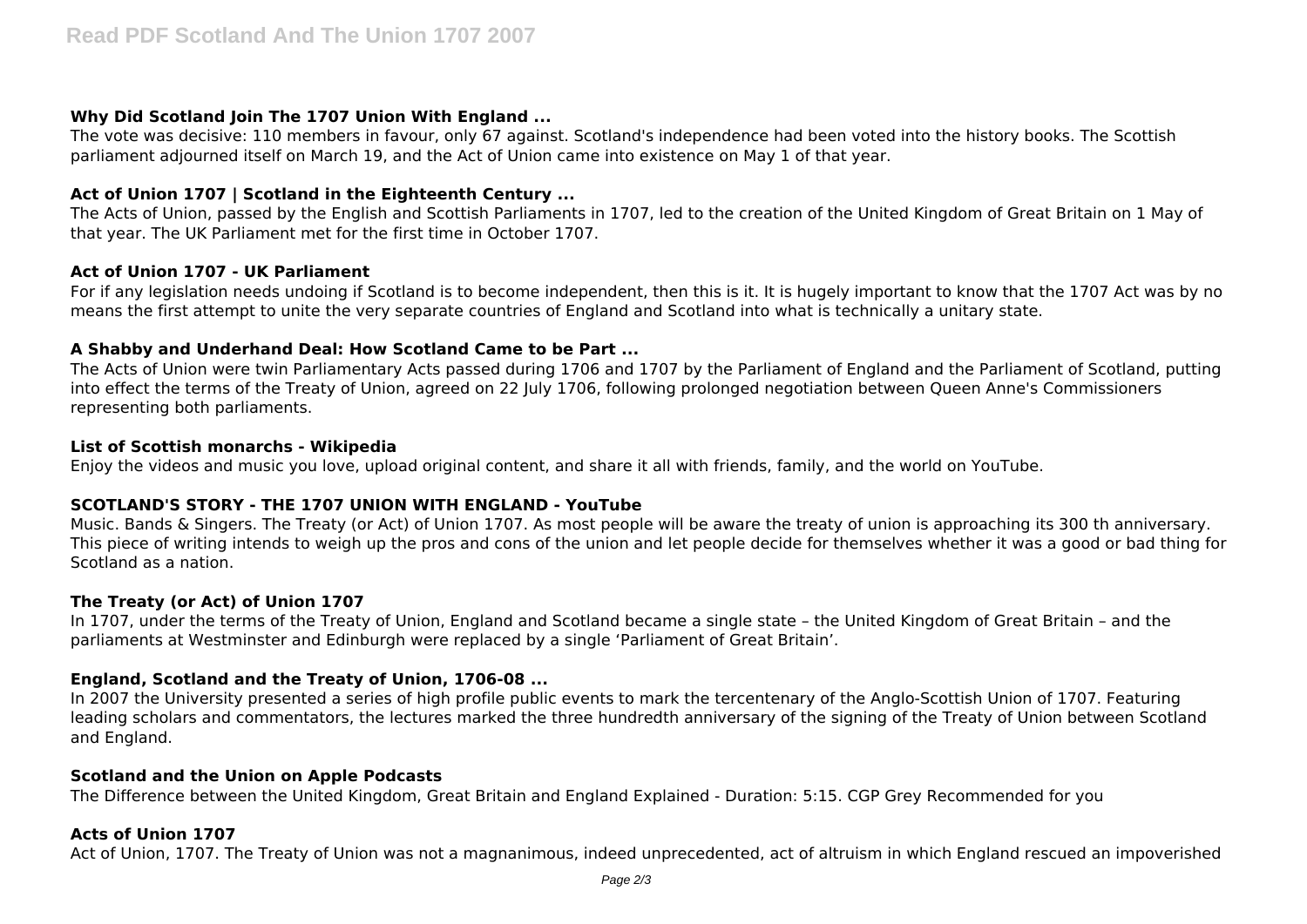# **Why Did Scotland Join The 1707 Union With England ...**

The vote was decisive: 110 members in favour, only 67 against. Scotland's independence had been voted into the history books. The Scottish parliament adjourned itself on March 19, and the Act of Union came into existence on May 1 of that year.

# **Act of Union 1707 | Scotland in the Eighteenth Century ...**

The Acts of Union, passed by the English and Scottish Parliaments in 1707, led to the creation of the United Kingdom of Great Britain on 1 May of that year. The UK Parliament met for the first time in October 1707.

## **Act of Union 1707 - UK Parliament**

For if any legislation needs undoing if Scotland is to become independent, then this is it. It is hugely important to know that the 1707 Act was by no means the first attempt to unite the very separate countries of England and Scotland into what is technically a unitary state.

## **A Shabby and Underhand Deal: How Scotland Came to be Part ...**

The Acts of Union were twin Parliamentary Acts passed during 1706 and 1707 by the Parliament of England and the Parliament of Scotland, putting into effect the terms of the Treaty of Union, agreed on 22 July 1706, following prolonged negotiation between Queen Anne's Commissioners representing both parliaments.

## **List of Scottish monarchs - Wikipedia**

Enjoy the videos and music you love, upload original content, and share it all with friends, family, and the world on YouTube.

## **SCOTLAND'S STORY - THE 1707 UNION WITH ENGLAND - YouTube**

Music. Bands & Singers. The Treaty (or Act) of Union 1707. As most people will be aware the treaty of union is approaching its 300 th anniversary. This piece of writing intends to weigh up the pros and cons of the union and let people decide for themselves whether it was a good or bad thing for Scotland as a nation.

## **The Treaty (or Act) of Union 1707**

In 1707, under the terms of the Treaty of Union, England and Scotland became a single state – the United Kingdom of Great Britain – and the parliaments at Westminster and Edinburgh were replaced by a single 'Parliament of Great Britain'.

## **England, Scotland and the Treaty of Union, 1706-08 ...**

In 2007 the University presented a series of high profile public events to mark the tercentenary of the Anglo-Scottish Union of 1707. Featuring leading scholars and commentators, the lectures marked the three hundredth anniversary of the signing of the Treaty of Union between Scotland and England.

## **Scotland and the Union on Apple Podcasts**

The Difference between the United Kingdom, Great Britain and England Explained - Duration: 5:15. CGP Grey Recommended for you

## **Acts of Union 1707**

Act of Union, 1707. The Treaty of Union was not a magnanimous, indeed unprecedented, act of altruism in which England rescued an impoverished